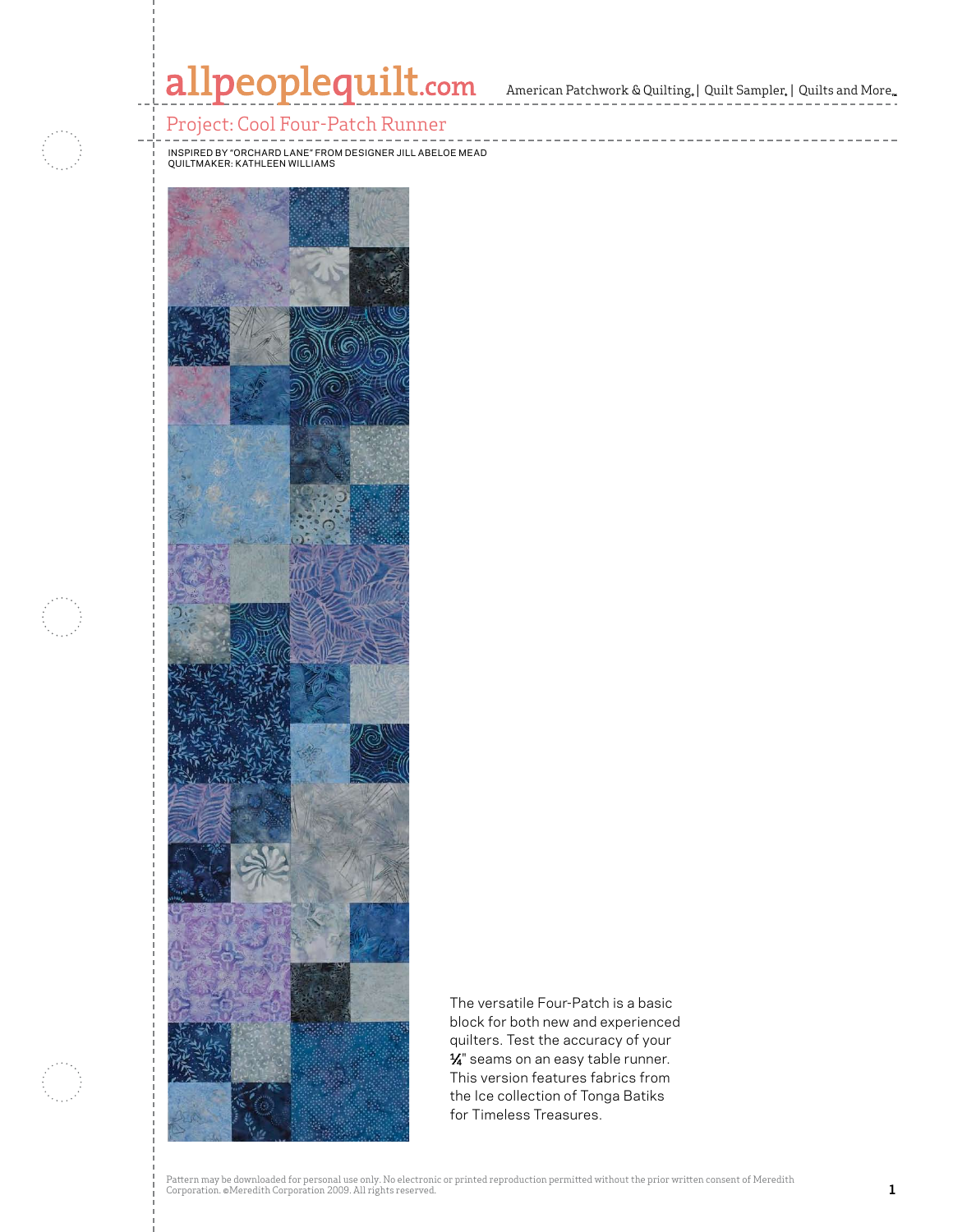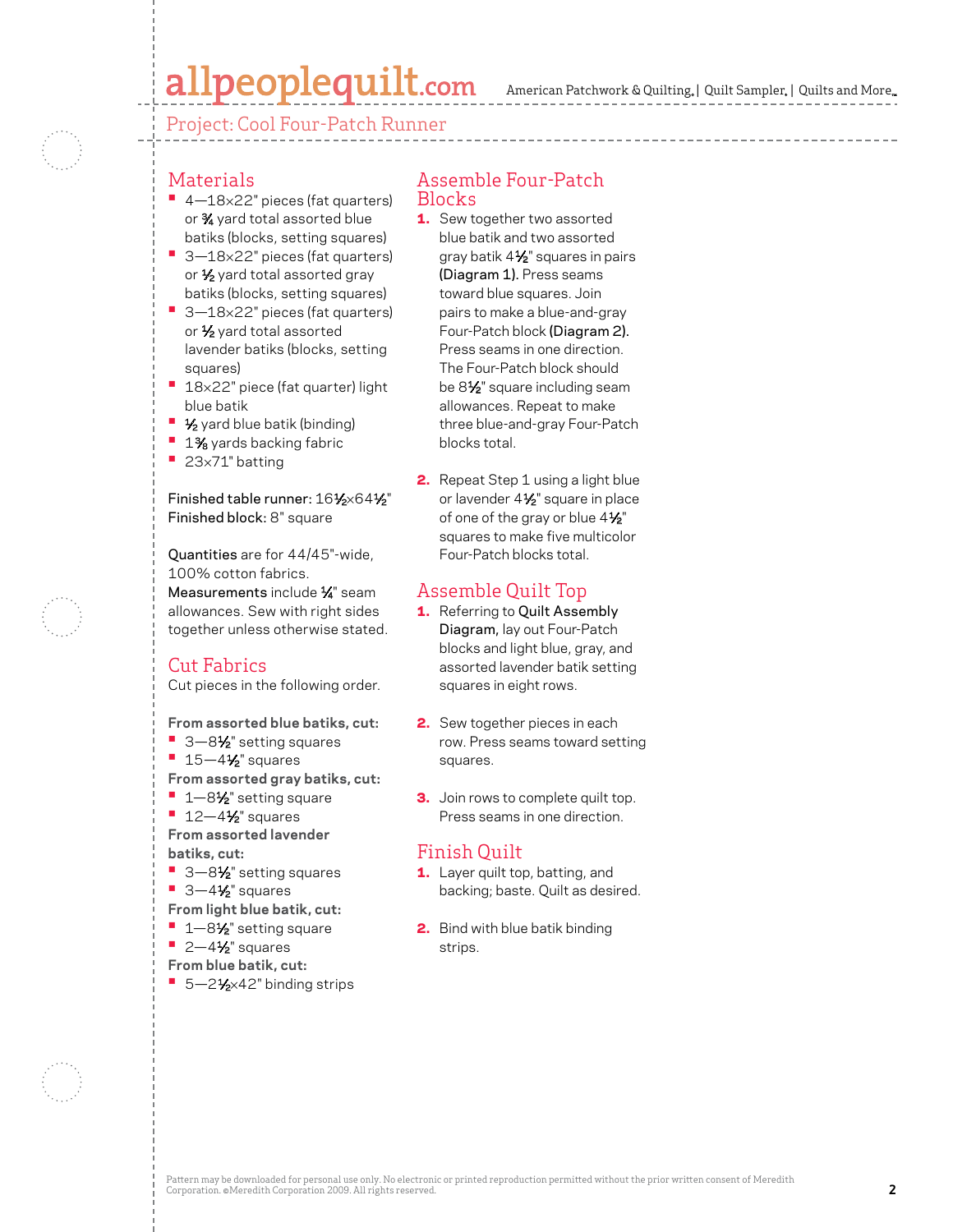# allpeoplequilt.com

Project: Cool Four-Patch Runner

## Materials

- **•**  4—18×22" pieces (fat quarters) or 3⁄4 yard total assorted blue batiks (blocks, setting squares)
- 3-18×22" pieces (fat quarters) or  $\frac{1}{2}$  yard total assorted gray batiks (blocks, setting squares)
- 3-18×22" pieces (fat quarters) or  $\frac{1}{2}$  yard total assorted lavender batiks (blocks, setting squares)
- 18×22" piece (fat quarter) light blue batik
- **1⁄2** yard blue batik (binding)
- **<sup>■</sup> 1%** yards backing fabric
- **•**  <sup>23</sup>×71" batting

Finished table runner: 161⁄2×641⁄2" Finished block: 8" square

Quantities are for 44/45"-wide, 100% cotton fabrics. Measurements include 1/4" seam allowances. Sew with right sides together unless otherwise stated.

## Cut Fabrics

Cut pieces in the following order.

**From assorted blue batiks, cut:**

- 3-8½<sup>"</sup> setting squares
- **•** 15-4<sup>1</sup>/<sub>2</sub>" squares

**From assorted gray batiks, cut:**

- **<sup>■</sup>**  $1-8\frac{1}{2}$  setting square
- **<sup>■</sup>** 12-4½" squares

**From assorted lavender batiks, cut:**

- 3-8<sup>1</sup>⁄<sub>2</sub>" setting squares
- 3-4½" squares

**From light blue batik, cut:**

- 1–8½" setting square
- **•** 2-4<sup>1</sup>/<sub>2</sub>" squares
- **From blue batik, cut:**
- 5-21⁄2×42" binding strips

#### Assemble Four-Patch Blocks

- 1. Sew together two assorted blue batik and two assorted gray batik 4½" squares in pairs (Diagram 1). Press seams toward blue squares. Join pairs to make a blue-and-gray Four-Patch block (Diagram 2). Press seams in one direction. The Four-Patch block should be 81⁄2" square including seam allowances. Repeat to make three blue-and-gray Four-Patch blocks total.
- **2.** Repeat Step 1 using a light blue or lavender 41/<sub>2</sub>" square in place of one of the gray or blue  $4\frac{1}{2}$ " squares to make five multicolor Four-Patch blocks total.

### Assemble Quilt Top

- 1. Referring to Quilt Assembly Diagram, lay out Four-Patch blocks and light blue, gray, and assorted lavender batik setting squares in eight rows.
- **2.** Sew together pieces in each row. Press seams toward setting squares.
- **3.** Join rows to complete quilt top. Press seams in one direction.

### Finish Quilt

- 1. Layer quilt top, batting, and backing; baste. Quilt as desired.
- **2.** Bind with blue batik binding strips.